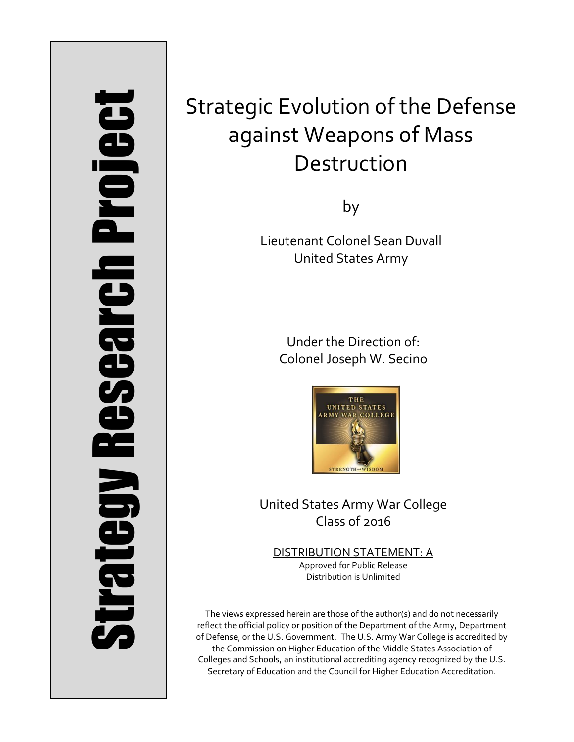# **Project** Strategy Research Project **Strategy Research**

# Strategic Evolution of the Defense against Weapons of Mass Destruction

by

Lieutenant Colonel Sean Duvall United States Army

> Under the Direction of: Colonel Joseph W. Secino



United States Army War College Class of 2016

DISTRIBUTION STATEMENT: A Approved for Public Release Distribution is Unlimited

The views expressed herein are those of the author(s) and do not necessarily reflect the official policy or position of the Department of the Army, Department of Defense, or the U.S. Government. The U.S. Army War College is accredited by the Commission on Higher Education of the Middle States Association of Colleges and Schools, an institutional accrediting agency recognized by the U.S. Secretary of Education and the Council for Higher Education Accreditation.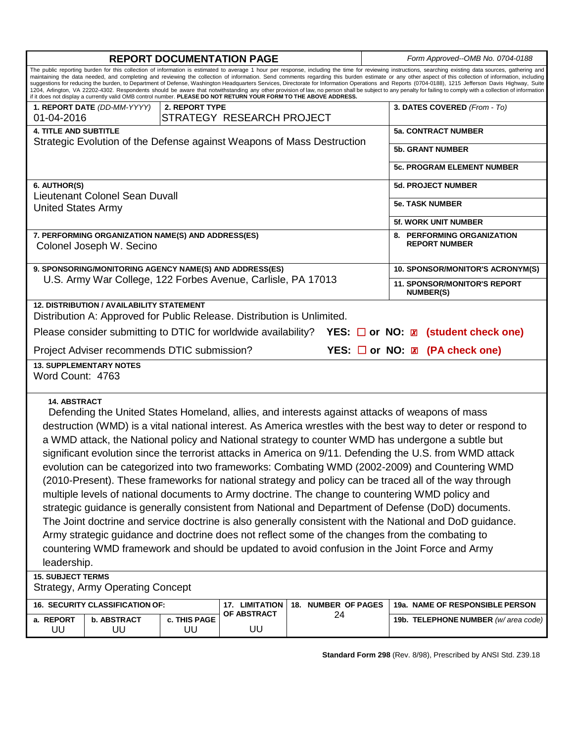| <b>REPORT DOCUMENTATION PAGE</b>                                                                                                                                                                                                                                                                                                                                                                                                                                                                                                                                                                                                                                                                                                                                                                                                                                                                                                                                                                                                                                                                                                                                                                            |                                                                        |                   |                         |                                  | Form Approved--OMB No. 0704-0188                        |  |
|-------------------------------------------------------------------------------------------------------------------------------------------------------------------------------------------------------------------------------------------------------------------------------------------------------------------------------------------------------------------------------------------------------------------------------------------------------------------------------------------------------------------------------------------------------------------------------------------------------------------------------------------------------------------------------------------------------------------------------------------------------------------------------------------------------------------------------------------------------------------------------------------------------------------------------------------------------------------------------------------------------------------------------------------------------------------------------------------------------------------------------------------------------------------------------------------------------------|------------------------------------------------------------------------|-------------------|-------------------------|----------------------------------|---------------------------------------------------------|--|
| The public reporting burden for this collection of information is estimated to average 1 hour per response, including the time for reviewing instructions, searching existing data sources, gathering and<br>maintaining the data needed, and completing and reviewing the collection of information. Send comments regarding this burden estimate or any other aspect of this collection of information, including<br>suggestions for reducing the burden, to Department of Defense, Washington Headquarters Services, Directorate for Information Operations and Reports (0704-0188), 1215 Jefferson Davis Highway, Suite<br>1204, Arlington, VA 22202-4302. Respondents should be aware that notwithstanding any other provision of law, no person shall be subject to any penalty for failing to comply with a collection of information<br>if it does not display a currently valid OMB control number. PLEASE DO NOT RETURN YOUR FORM TO THE ABOVE ADDRESS.                                                                                                                                                                                                                                           |                                                                        |                   |                         |                                  |                                                         |  |
| 1. REPORT DATE (DD-MM-YYYY)<br>01-04-2016                                                                                                                                                                                                                                                                                                                                                                                                                                                                                                                                                                                                                                                                                                                                                                                                                                                                                                                                                                                                                                                                                                                                                                   | 2. REPORT TYPE<br>STRATEGY RESEARCH PROJECT                            |                   |                         | 3. DATES COVERED (From - To)     |                                                         |  |
| <b>4. TITLE AND SUBTITLE</b>                                                                                                                                                                                                                                                                                                                                                                                                                                                                                                                                                                                                                                                                                                                                                                                                                                                                                                                                                                                                                                                                                                                                                                                |                                                                        |                   |                         |                                  | <b>5a. CONTRACT NUMBER</b>                              |  |
|                                                                                                                                                                                                                                                                                                                                                                                                                                                                                                                                                                                                                                                                                                                                                                                                                                                                                                                                                                                                                                                                                                                                                                                                             | Strategic Evolution of the Defense against Weapons of Mass Destruction |                   | <b>5b. GRANT NUMBER</b> |                                  |                                                         |  |
|                                                                                                                                                                                                                                                                                                                                                                                                                                                                                                                                                                                                                                                                                                                                                                                                                                                                                                                                                                                                                                                                                                                                                                                                             |                                                                        |                   |                         |                                  |                                                         |  |
|                                                                                                                                                                                                                                                                                                                                                                                                                                                                                                                                                                                                                                                                                                                                                                                                                                                                                                                                                                                                                                                                                                                                                                                                             |                                                                        |                   |                         |                                  | <b>5c. PROGRAM ELEMENT NUMBER</b>                       |  |
| 6. AUTHOR(S)                                                                                                                                                                                                                                                                                                                                                                                                                                                                                                                                                                                                                                                                                                                                                                                                                                                                                                                                                                                                                                                                                                                                                                                                |                                                                        |                   |                         | <b>5d. PROJECT NUMBER</b>        |                                                         |  |
| Lieutenant Colonel Sean Duvall<br><b>United States Army</b>                                                                                                                                                                                                                                                                                                                                                                                                                                                                                                                                                                                                                                                                                                                                                                                                                                                                                                                                                                                                                                                                                                                                                 |                                                                        |                   |                         |                                  | <b>5e. TASK NUMBER</b>                                  |  |
|                                                                                                                                                                                                                                                                                                                                                                                                                                                                                                                                                                                                                                                                                                                                                                                                                                                                                                                                                                                                                                                                                                                                                                                                             |                                                                        |                   |                         | <b>5f. WORK UNIT NUMBER</b>      |                                                         |  |
| 7. PERFORMING ORGANIZATION NAME(S) AND ADDRESS(ES)<br>Colonel Joseph W. Secino                                                                                                                                                                                                                                                                                                                                                                                                                                                                                                                                                                                                                                                                                                                                                                                                                                                                                                                                                                                                                                                                                                                              |                                                                        |                   |                         |                                  | 8. PERFORMING ORGANIZATION<br><b>REPORT NUMBER</b>      |  |
| 9. SPONSORING/MONITORING AGENCY NAME(S) AND ADDRESS(ES)                                                                                                                                                                                                                                                                                                                                                                                                                                                                                                                                                                                                                                                                                                                                                                                                                                                                                                                                                                                                                                                                                                                                                     |                                                                        |                   |                         | 10. SPONSOR/MONITOR'S ACRONYM(S) |                                                         |  |
| U.S. Army War College, 122 Forbes Avenue, Carlisle, PA 17013                                                                                                                                                                                                                                                                                                                                                                                                                                                                                                                                                                                                                                                                                                                                                                                                                                                                                                                                                                                                                                                                                                                                                |                                                                        |                   |                         |                                  | <b>11. SPONSOR/MONITOR'S REPORT</b><br><b>NUMBER(S)</b> |  |
| <b>12. DISTRIBUTION / AVAILABILITY STATEMENT</b><br>Distribution A: Approved for Public Release. Distribution is Unlimited.                                                                                                                                                                                                                                                                                                                                                                                                                                                                                                                                                                                                                                                                                                                                                                                                                                                                                                                                                                                                                                                                                 |                                                                        |                   |                         |                                  |                                                         |  |
| Please consider submitting to DTIC for worldwide availability?<br><b>YES:</b> $\Box$ or NO: $\Box$ (student check one)                                                                                                                                                                                                                                                                                                                                                                                                                                                                                                                                                                                                                                                                                                                                                                                                                                                                                                                                                                                                                                                                                      |                                                                        |                   |                         |                                  |                                                         |  |
| YES: □ or NO: <b>Z</b> (PA check one)<br>Project Adviser recommends DTIC submission?                                                                                                                                                                                                                                                                                                                                                                                                                                                                                                                                                                                                                                                                                                                                                                                                                                                                                                                                                                                                                                                                                                                        |                                                                        |                   |                         |                                  |                                                         |  |
| <b>13. SUPPLEMENTARY NOTES</b><br>Word Count: 4763                                                                                                                                                                                                                                                                                                                                                                                                                                                                                                                                                                                                                                                                                                                                                                                                                                                                                                                                                                                                                                                                                                                                                          |                                                                        |                   |                         |                                  |                                                         |  |
| <b>14. ABSTRACT</b><br>Defending the United States Homeland, allies, and interests against attacks of weapons of mass<br>destruction (WMD) is a vital national interest. As America wrestles with the best way to deter or respond to<br>a WMD attack, the National policy and National strategy to counter WMD has undergone a subtle but<br>significant evolution since the terrorist attacks in America on 9/11. Defending the U.S. from WMD attack<br>evolution can be categorized into two frameworks: Combating WMD (2002-2009) and Countering WMD<br>(2010-Present). These frameworks for national strategy and policy can be traced all of the way through<br>multiple levels of national documents to Army doctrine. The change to countering WMD policy and<br>strategic guidance is generally consistent from National and Department of Defense (DoD) documents.<br>The Joint doctrine and service doctrine is also generally consistent with the National and DoD guidance.<br>Army strategic guidance and doctrine does not reflect some of the changes from the combating to<br>countering WMD framework and should be updated to avoid confusion in the Joint Force and Army<br>leadership. |                                                                        |                   |                         |                                  |                                                         |  |
| <b>15. SUBJECT TERMS</b><br><b>Strategy, Army Operating Concept</b>                                                                                                                                                                                                                                                                                                                                                                                                                                                                                                                                                                                                                                                                                                                                                                                                                                                                                                                                                                                                                                                                                                                                         |                                                                        |                   |                         |                                  |                                                         |  |
| 16. SECURITY CLASSIFICATION OF:                                                                                                                                                                                                                                                                                                                                                                                                                                                                                                                                                                                                                                                                                                                                                                                                                                                                                                                                                                                                                                                                                                                                                                             |                                                                        | 17. LIMITATION    | 18. NUMBER OF PAGES     |                                  | 19a. NAME OF RESPONSIBLE PERSON                         |  |
| a. REPORT<br><b>b. ABSTRACT</b><br>UU<br>UU                                                                                                                                                                                                                                                                                                                                                                                                                                                                                                                                                                                                                                                                                                                                                                                                                                                                                                                                                                                                                                                                                                                                                                 | c. THIS PAGE<br>UU                                                     | OF ABSTRACT<br>UU | 24                      |                                  | 19b. TELEPHONE NUMBER (w/ area code)                    |  |

**Standard Form 298** (Rev. 8/98), Prescribed by ANSI Std. Z39.18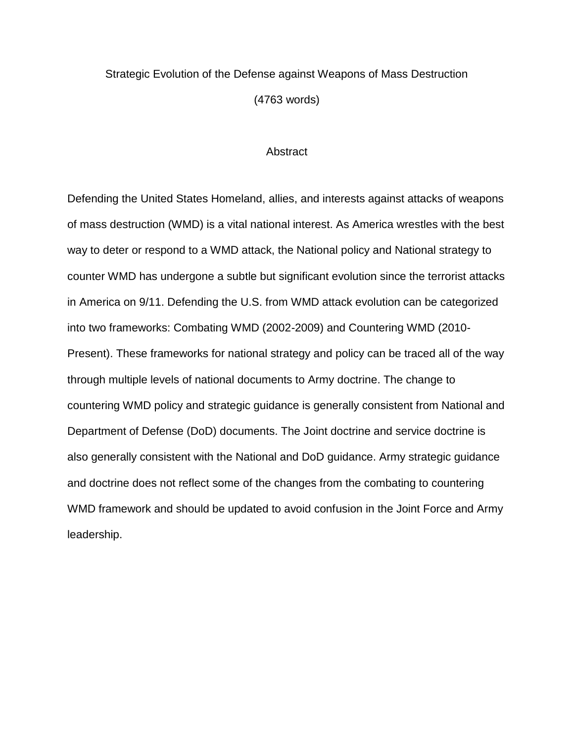## Strategic Evolution of the Defense against Weapons of Mass Destruction (4763 words)

### **Abstract**

Defending the United States Homeland, allies, and interests against attacks of weapons of mass destruction (WMD) is a vital national interest. As America wrestles with the best way to deter or respond to a WMD attack, the National policy and National strategy to counter WMD has undergone a subtle but significant evolution since the terrorist attacks in America on 9/11. Defending the U.S. from WMD attack evolution can be categorized into two frameworks: Combating WMD (2002-2009) and Countering WMD (2010- Present). These frameworks for national strategy and policy can be traced all of the way through multiple levels of national documents to Army doctrine. The change to countering WMD policy and strategic guidance is generally consistent from National and Department of Defense (DoD) documents. The Joint doctrine and service doctrine is also generally consistent with the National and DoD guidance. Army strategic guidance and doctrine does not reflect some of the changes from the combating to countering WMD framework and should be updated to avoid confusion in the Joint Force and Army leadership.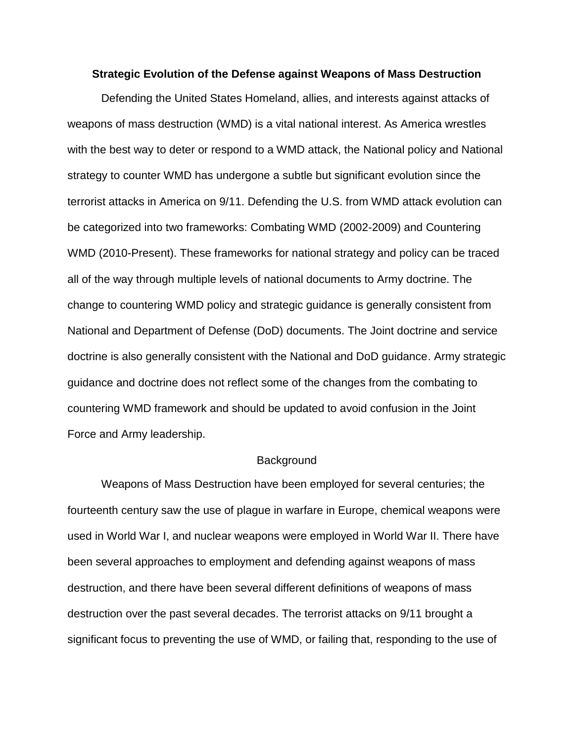### **Strategic Evolution of the Defense against Weapons of Mass Destruction**

Defending the United States Homeland, allies, and interests against attacks of weapons of mass destruction (WMD) is a vital national interest. As America wrestles with the best way to deter or respond to a WMD attack, the National policy and National strategy to counter WMD has undergone a subtle but significant evolution since the terrorist attacks in America on 9/11. Defending the U.S. from WMD attack evolution can be categorized into two frameworks: Combating WMD (2002-2009) and Countering WMD (2010-Present). These frameworks for national strategy and policy can be traced all of the way through multiple levels of national documents to Army doctrine. The change to countering WMD policy and strategic guidance is generally consistent from National and Department of Defense (DoD) documents. The Joint doctrine and service doctrine is also generally consistent with the National and DoD guidance. Army strategic guidance and doctrine does not reflect some of the changes from the combating to countering WMD framework and should be updated to avoid confusion in the Joint Force and Army leadership.

### **Background**

Weapons of Mass Destruction have been employed for several centuries; the fourteenth century saw the use of plague in warfare in Europe, chemical weapons were used in World War I, and nuclear weapons were employed in World War II. There have been several approaches to employment and defending against weapons of mass destruction, and there have been several different definitions of weapons of mass destruction over the past several decades. The terrorist attacks on 9/11 brought a significant focus to preventing the use of WMD, or failing that, responding to the use of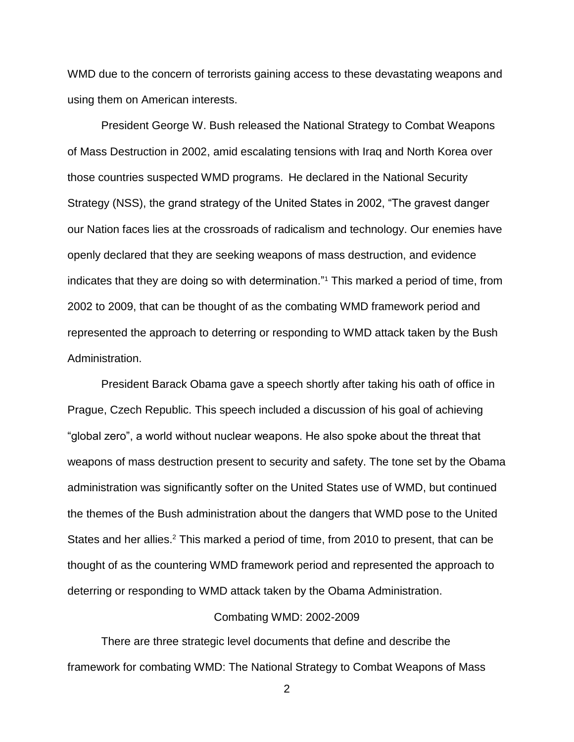WMD due to the concern of terrorists gaining access to these devastating weapons and using them on American interests.

President George W. Bush released the National Strategy to Combat Weapons of Mass Destruction in 2002, amid escalating tensions with Iraq and North Korea over those countries suspected WMD programs. He declared in the National Security Strategy (NSS), the grand strategy of the United States in 2002, "The gravest danger our Nation faces lies at the crossroads of radicalism and technology. Our enemies have openly declared that they are seeking weapons of mass destruction, and evidence indicates that they are doing so with determination."<sup>1</sup> This marked a period of time, from 2002 to 2009, that can be thought of as the combating WMD framework period and represented the approach to deterring or responding to WMD attack taken by the Bush Administration.

President Barack Obama gave a speech shortly after taking his oath of office in Prague, Czech Republic. This speech included a discussion of his goal of achieving "global zero", a world without nuclear weapons. He also spoke about the threat that weapons of mass destruction present to security and safety. The tone set by the Obama administration was significantly softer on the United States use of WMD, but continued the themes of the Bush administration about the dangers that WMD pose to the United States and her allies.<sup>2</sup> This marked a period of time, from 2010 to present, that can be thought of as the countering WMD framework period and represented the approach to deterring or responding to WMD attack taken by the Obama Administration.

### Combating WMD: 2002-2009

There are three strategic level documents that define and describe the framework for combating WMD: The National Strategy to Combat Weapons of Mass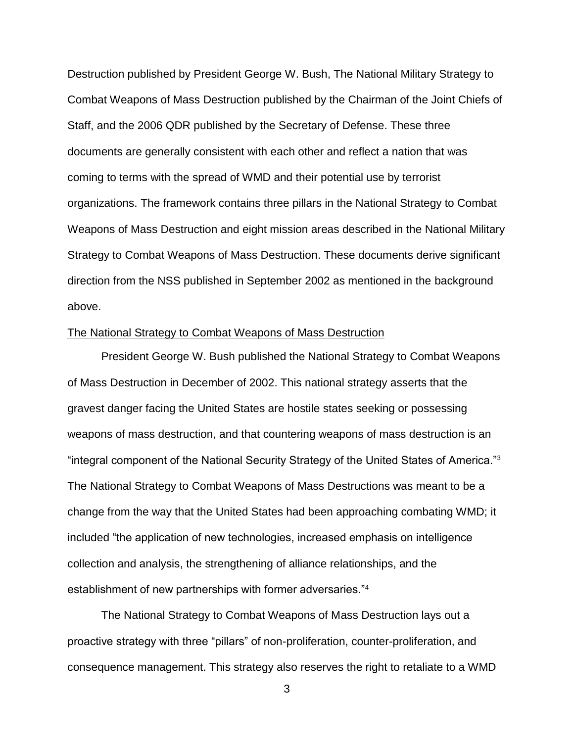Destruction published by President George W. Bush, The National Military Strategy to Combat Weapons of Mass Destruction published by the Chairman of the Joint Chiefs of Staff, and the 2006 QDR published by the Secretary of Defense. These three documents are generally consistent with each other and reflect a nation that was coming to terms with the spread of WMD and their potential use by terrorist organizations. The framework contains three pillars in the National Strategy to Combat Weapons of Mass Destruction and eight mission areas described in the National Military Strategy to Combat Weapons of Mass Destruction. These documents derive significant direction from the NSS published in September 2002 as mentioned in the background above.

### The National Strategy to Combat Weapons of Mass Destruction

President George W. Bush published the National Strategy to Combat Weapons of Mass Destruction in December of 2002. This national strategy asserts that the gravest danger facing the United States are hostile states seeking or possessing weapons of mass destruction, and that countering weapons of mass destruction is an "integral component of the National Security Strategy of the United States of America."<sup>3</sup> The National Strategy to Combat Weapons of Mass Destructions was meant to be a change from the way that the United States had been approaching combating WMD; it included "the application of new technologies, increased emphasis on intelligence collection and analysis, the strengthening of alliance relationships, and the establishment of new partnerships with former adversaries."<sup>4</sup>

The National Strategy to Combat Weapons of Mass Destruction lays out a proactive strategy with three "pillars" of non-proliferation, counter-proliferation, and consequence management. This strategy also reserves the right to retaliate to a WMD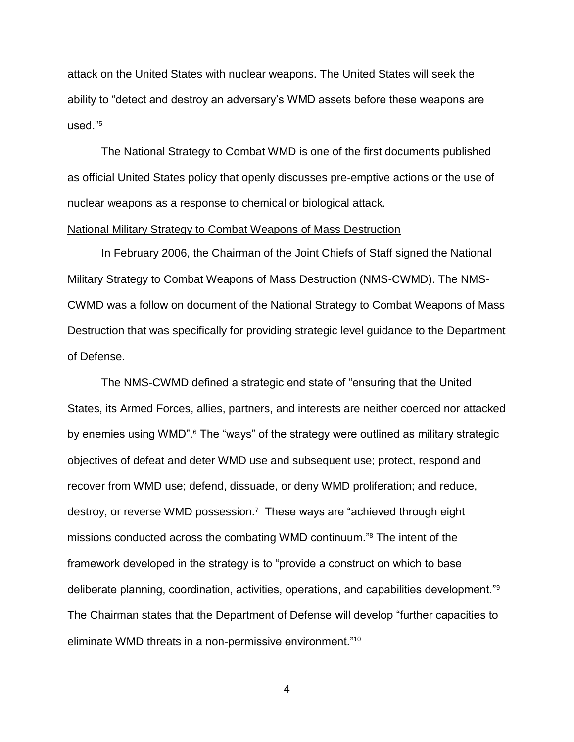attack on the United States with nuclear weapons. The United States will seek the ability to "detect and destroy an adversary's WMD assets before these weapons are used $"5$ 

The National Strategy to Combat WMD is one of the first documents published as official United States policy that openly discusses pre-emptive actions or the use of nuclear weapons as a response to chemical or biological attack.

### National Military Strategy to Combat Weapons of Mass Destruction

In February 2006, the Chairman of the Joint Chiefs of Staff signed the National Military Strategy to Combat Weapons of Mass Destruction (NMS-CWMD). The NMS-CWMD was a follow on document of the National Strategy to Combat Weapons of Mass Destruction that was specifically for providing strategic level guidance to the Department of Defense.

The NMS-CWMD defined a strategic end state of "ensuring that the United States, its Armed Forces, allies, partners, and interests are neither coerced nor attacked by enemies using WMD".<sup>6</sup> The "ways" of the strategy were outlined as military strategic objectives of defeat and deter WMD use and subsequent use; protect, respond and recover from WMD use; defend, dissuade, or deny WMD proliferation; and reduce, destroy, or reverse WMD possession.<sup>7</sup> These ways are "achieved through eight missions conducted across the combating WMD continuum."<sup>8</sup> The intent of the framework developed in the strategy is to "provide a construct on which to base deliberate planning, coordination, activities, operations, and capabilities development."<sup>9</sup> The Chairman states that the Department of Defense will develop "further capacities to eliminate WMD threats in a non-permissive environment."10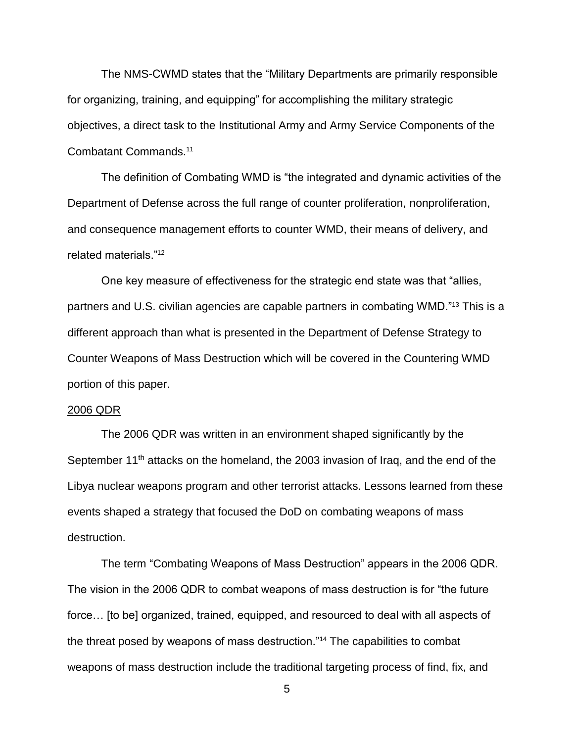The NMS-CWMD states that the "Military Departments are primarily responsible for organizing, training, and equipping" for accomplishing the military strategic objectives, a direct task to the Institutional Army and Army Service Components of the Combatant Commands.<sup>11</sup>

The definition of Combating WMD is "the integrated and dynamic activities of the Department of Defense across the full range of counter proliferation, nonproliferation, and consequence management efforts to counter WMD, their means of delivery, and related materials."<sup>12</sup>

One key measure of effectiveness for the strategic end state was that "allies, partners and U.S. civilian agencies are capable partners in combating WMD."<sup>13</sup> This is a different approach than what is presented in the Department of Defense Strategy to Counter Weapons of Mass Destruction which will be covered in the Countering WMD portion of this paper.

### 2006 QDR

The 2006 QDR was written in an environment shaped significantly by the September 11<sup>th</sup> attacks on the homeland, the 2003 invasion of Iraq, and the end of the Libya nuclear weapons program and other terrorist attacks. Lessons learned from these events shaped a strategy that focused the DoD on combating weapons of mass destruction.

The term "Combating Weapons of Mass Destruction" appears in the 2006 QDR. The vision in the 2006 QDR to combat weapons of mass destruction is for "the future force… [to be] organized, trained, equipped, and resourced to deal with all aspects of the threat posed by weapons of mass destruction."<sup>14</sup> The capabilities to combat weapons of mass destruction include the traditional targeting process of find, fix, and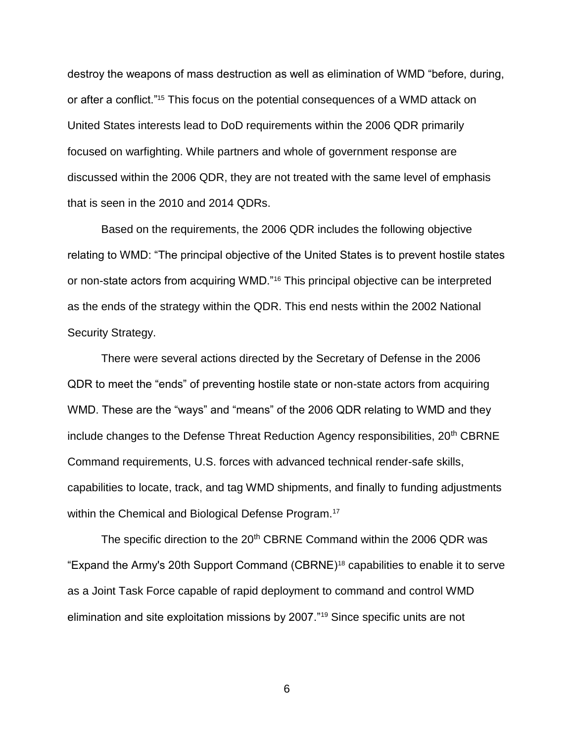destroy the weapons of mass destruction as well as elimination of WMD "before, during, or after a conflict."<sup>15</sup> This focus on the potential consequences of a WMD attack on United States interests lead to DoD requirements within the 2006 QDR primarily focused on warfighting. While partners and whole of government response are discussed within the 2006 QDR, they are not treated with the same level of emphasis that is seen in the 2010 and 2014 QDRs.

Based on the requirements, the 2006 QDR includes the following objective relating to WMD: "The principal objective of the United States is to prevent hostile states or non-state actors from acquiring WMD."<sup>16</sup> This principal objective can be interpreted as the ends of the strategy within the QDR. This end nests within the 2002 National Security Strategy.

There were several actions directed by the Secretary of Defense in the 2006 QDR to meet the "ends" of preventing hostile state or non-state actors from acquiring WMD. These are the "ways" and "means" of the 2006 QDR relating to WMD and they include changes to the Defense Threat Reduction Agency responsibilities,  $20<sup>th</sup>$  CBRNE Command requirements, U.S. forces with advanced technical render-safe skills, capabilities to locate, track, and tag WMD shipments, and finally to funding adjustments within the Chemical and Biological Defense Program.<sup>17</sup>

The specific direction to the 20<sup>th</sup> CBRNE Command within the 2006 QDR was "Expand the Army's 20th Support Command (CBRNE)<sup>18</sup> capabilities to enable it to serve as a Joint Task Force capable of rapid deployment to command and control WMD elimination and site exploitation missions by 2007."<sup>19</sup> Since specific units are not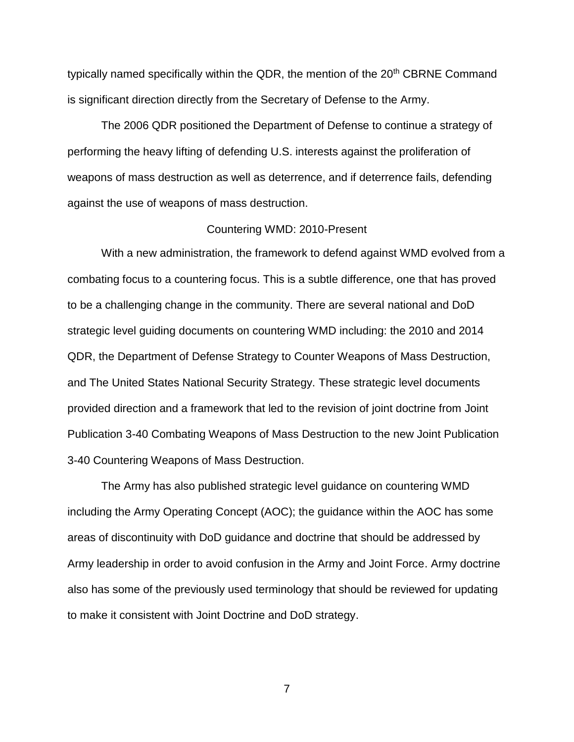typically named specifically within the QDR, the mention of the 20<sup>th</sup> CBRNE Command is significant direction directly from the Secretary of Defense to the Army.

The 2006 QDR positioned the Department of Defense to continue a strategy of performing the heavy lifting of defending U.S. interests against the proliferation of weapons of mass destruction as well as deterrence, and if deterrence fails, defending against the use of weapons of mass destruction.

### Countering WMD: 2010-Present

With a new administration, the framework to defend against WMD evolved from a combating focus to a countering focus. This is a subtle difference, one that has proved to be a challenging change in the community. There are several national and DoD strategic level guiding documents on countering WMD including: the 2010 and 2014 QDR, the Department of Defense Strategy to Counter Weapons of Mass Destruction, and The United States National Security Strategy. These strategic level documents provided direction and a framework that led to the revision of joint doctrine from Joint Publication 3-40 Combating Weapons of Mass Destruction to the new Joint Publication 3-40 Countering Weapons of Mass Destruction.

The Army has also published strategic level guidance on countering WMD including the Army Operating Concept (AOC); the guidance within the AOC has some areas of discontinuity with DoD guidance and doctrine that should be addressed by Army leadership in order to avoid confusion in the Army and Joint Force. Army doctrine also has some of the previously used terminology that should be reviewed for updating to make it consistent with Joint Doctrine and DoD strategy.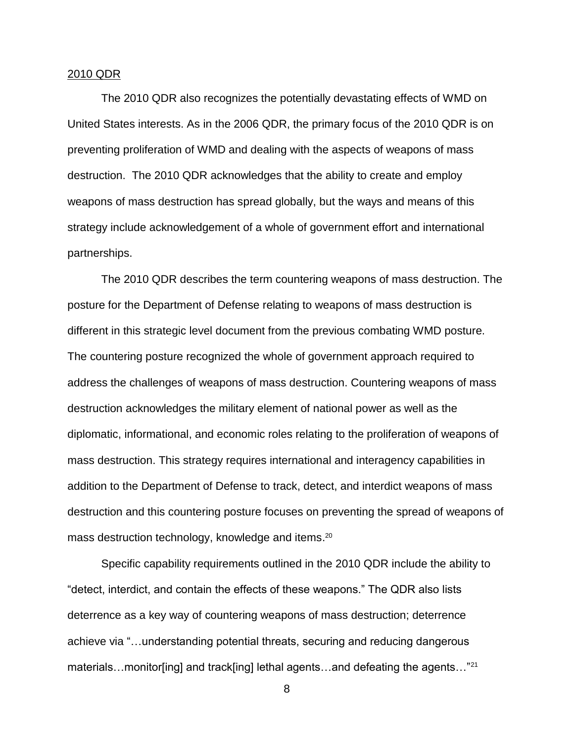### 2010 QDR

The 2010 QDR also recognizes the potentially devastating effects of WMD on United States interests. As in the 2006 QDR, the primary focus of the 2010 QDR is on preventing proliferation of WMD and dealing with the aspects of weapons of mass destruction. The 2010 QDR acknowledges that the ability to create and employ weapons of mass destruction has spread globally, but the ways and means of this strategy include acknowledgement of a whole of government effort and international partnerships.

The 2010 QDR describes the term countering weapons of mass destruction. The posture for the Department of Defense relating to weapons of mass destruction is different in this strategic level document from the previous combating WMD posture. The countering posture recognized the whole of government approach required to address the challenges of weapons of mass destruction. Countering weapons of mass destruction acknowledges the military element of national power as well as the diplomatic, informational, and economic roles relating to the proliferation of weapons of mass destruction. This strategy requires international and interagency capabilities in addition to the Department of Defense to track, detect, and interdict weapons of mass destruction and this countering posture focuses on preventing the spread of weapons of mass destruction technology, knowledge and items. 20

Specific capability requirements outlined in the 2010 QDR include the ability to "detect, interdict, and contain the effects of these weapons." The QDR also lists deterrence as a key way of countering weapons of mass destruction; deterrence achieve via "…understanding potential threats, securing and reducing dangerous materials…monitor[ing] and track[ing] lethal agents…and defeating the agents…"<sup>21</sup>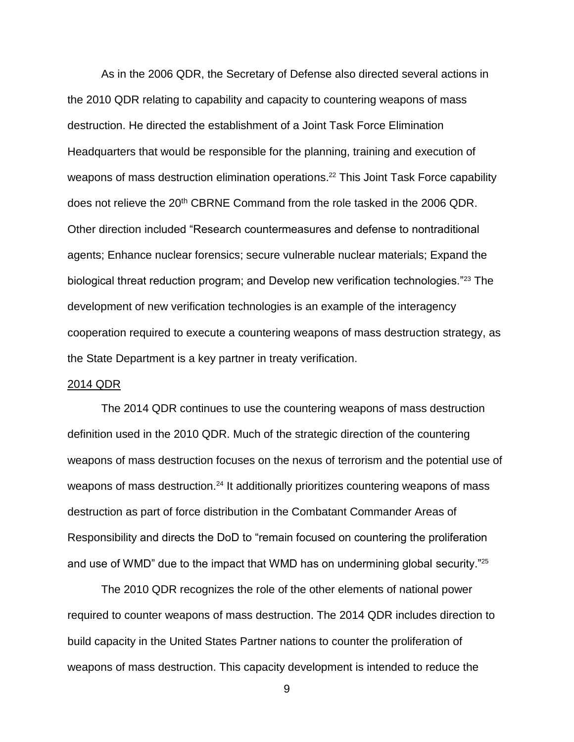As in the 2006 QDR, the Secretary of Defense also directed several actions in the 2010 QDR relating to capability and capacity to countering weapons of mass destruction. He directed the establishment of a Joint Task Force Elimination Headquarters that would be responsible for the planning, training and execution of weapons of mass destruction elimination operations.<sup>22</sup> This Joint Task Force capability does not relieve the 20<sup>th</sup> CBRNE Command from the role tasked in the 2006 QDR. Other direction included "Research countermeasures and defense to nontraditional agents; Enhance nuclear forensics; secure vulnerable nuclear materials; Expand the biological threat reduction program; and Develop new verification technologies."<sup>23</sup> The development of new verification technologies is an example of the interagency cooperation required to execute a countering weapons of mass destruction strategy, as the State Department is a key partner in treaty verification.

### 2014 QDR

The 2014 QDR continues to use the countering weapons of mass destruction definition used in the 2010 QDR. Much of the strategic direction of the countering weapons of mass destruction focuses on the nexus of terrorism and the potential use of weapons of mass destruction.<sup>24</sup> It additionally prioritizes countering weapons of mass destruction as part of force distribution in the Combatant Commander Areas of Responsibility and directs the DoD to "remain focused on countering the proliferation and use of WMD" due to the impact that WMD has on undermining global security."<sup>25</sup>

The 2010 QDR recognizes the role of the other elements of national power required to counter weapons of mass destruction. The 2014 QDR includes direction to build capacity in the United States Partner nations to counter the proliferation of weapons of mass destruction. This capacity development is intended to reduce the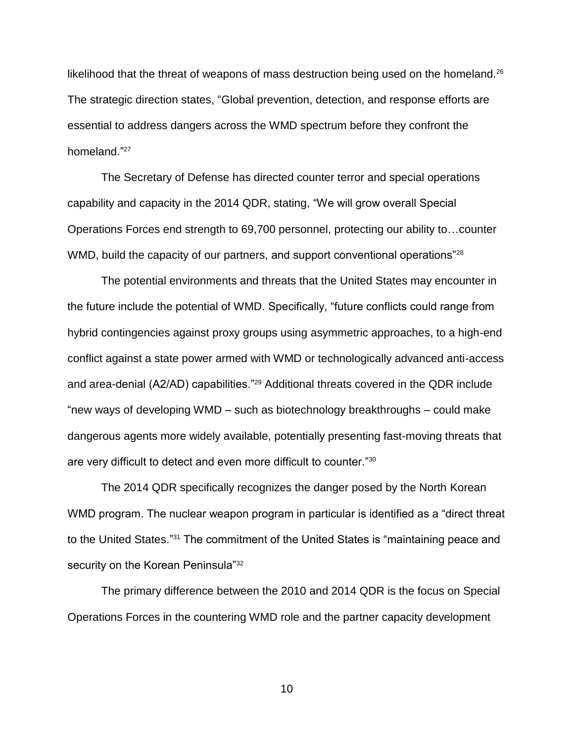likelihood that the threat of weapons of mass destruction being used on the homeland.<sup>26</sup> The strategic direction states, "Global prevention, detection, and response efforts are essential to address dangers across the WMD spectrum before they confront the homeland." 27

The Secretary of Defense has directed counter terror and special operations capability and capacity in the 2014 QDR, stating, "We will grow overall Special Operations Forces end strength to 69,700 personnel, protecting our ability to…counter WMD, build the capacity of our partners, and support conventional operations<sup>"28</sup>

The potential environments and threats that the United States may encounter in the future include the potential of WMD. Specifically, "future conflicts could range from hybrid contingencies against proxy groups using asymmetric approaches, to a high-end conflict against a state power armed with WMD or technologically advanced anti-access and area-denial (A2/AD) capabilities."<sup>29</sup> Additional threats covered in the QDR include "new ways of developing WMD – such as biotechnology breakthroughs – could make dangerous agents more widely available, potentially presenting fast-moving threats that are very difficult to detect and even more difficult to counter."<sup>30</sup>

The 2014 QDR specifically recognizes the danger posed by the North Korean WMD program. The nuclear weapon program in particular is identified as a "direct threat to the United States."<sup>31</sup> The commitment of the United States is "maintaining peace and security on the Korean Peninsula"<sup>32</sup>

The primary difference between the 2010 and 2014 QDR is the focus on Special Operations Forces in the countering WMD role and the partner capacity development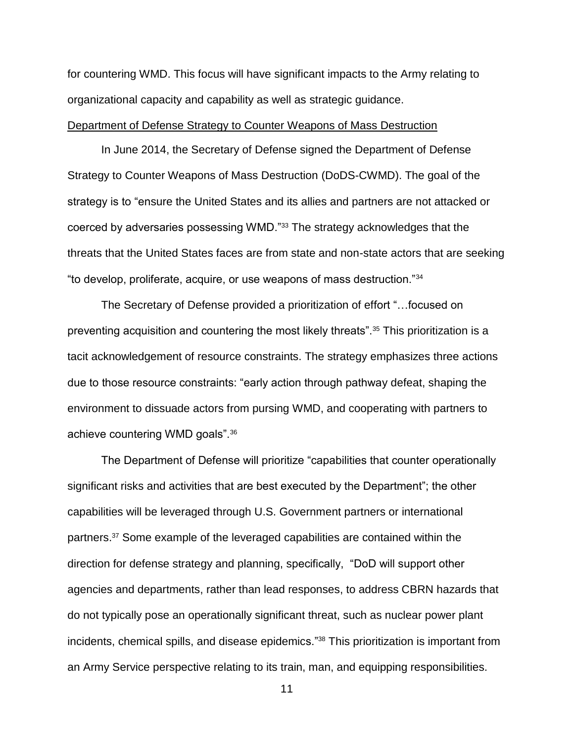for countering WMD. This focus will have significant impacts to the Army relating to organizational capacity and capability as well as strategic guidance.

### Department of Defense Strategy to Counter Weapons of Mass Destruction

In June 2014, the Secretary of Defense signed the Department of Defense Strategy to Counter Weapons of Mass Destruction (DoDS-CWMD). The goal of the strategy is to "ensure the United States and its allies and partners are not attacked or coerced by adversaries possessing WMD."<sup>33</sup> The strategy acknowledges that the threats that the United States faces are from state and non-state actors that are seeking "to develop, proliferate, acquire, or use weapons of mass destruction."<sup>34</sup>

The Secretary of Defense provided a prioritization of effort "…focused on preventing acquisition and countering the most likely threats".<sup>35</sup> This prioritization is a tacit acknowledgement of resource constraints. The strategy emphasizes three actions due to those resource constraints: "early action through pathway defeat, shaping the environment to dissuade actors from pursing WMD, and cooperating with partners to achieve countering WMD goals".<sup>36</sup>

The Department of Defense will prioritize "capabilities that counter operationally significant risks and activities that are best executed by the Department"; the other capabilities will be leveraged through U.S. Government partners or international partners.<sup>37</sup> Some example of the leveraged capabilities are contained within the direction for defense strategy and planning, specifically, "DoD will support other agencies and departments, rather than lead responses, to address CBRN hazards that do not typically pose an operationally significant threat, such as nuclear power plant incidents, chemical spills, and disease epidemics."<sup>38</sup> This prioritization is important from an Army Service perspective relating to its train, man, and equipping responsibilities.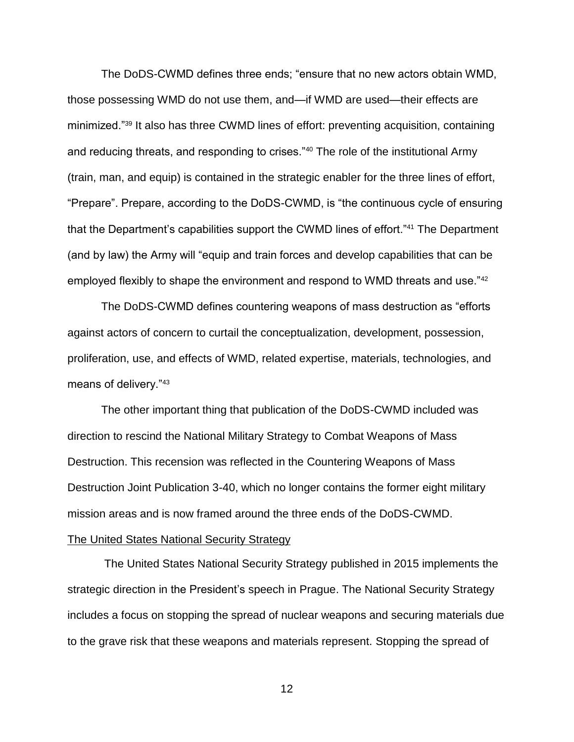The DoDS-CWMD defines three ends; "ensure that no new actors obtain WMD, those possessing WMD do not use them, and—if WMD are used—their effects are minimized."<sup>39</sup> It also has three CWMD lines of effort: preventing acquisition, containing and reducing threats, and responding to crises."<sup>40</sup> The role of the institutional Army (train, man, and equip) is contained in the strategic enabler for the three lines of effort, "Prepare". Prepare, according to the DoDS-CWMD, is "the continuous cycle of ensuring that the Department's capabilities support the CWMD lines of effort."<sup>41</sup> The Department (and by law) the Army will "equip and train forces and develop capabilities that can be employed flexibly to shape the environment and respond to WMD threats and use."42

The DoDS-CWMD defines countering weapons of mass destruction as "efforts against actors of concern to curtail the conceptualization, development, possession, proliferation, use, and effects of WMD, related expertise, materials, technologies, and means of delivery."<sup>43</sup>

The other important thing that publication of the DoDS-CWMD included was direction to rescind the National Military Strategy to Combat Weapons of Mass Destruction. This recension was reflected in the Countering Weapons of Mass Destruction Joint Publication 3-40, which no longer contains the former eight military mission areas and is now framed around the three ends of the DoDS-CWMD.

### The United States National Security Strategy

The United States National Security Strategy published in 2015 implements the strategic direction in the President's speech in Prague. The National Security Strategy includes a focus on stopping the spread of nuclear weapons and securing materials due to the grave risk that these weapons and materials represent. Stopping the spread of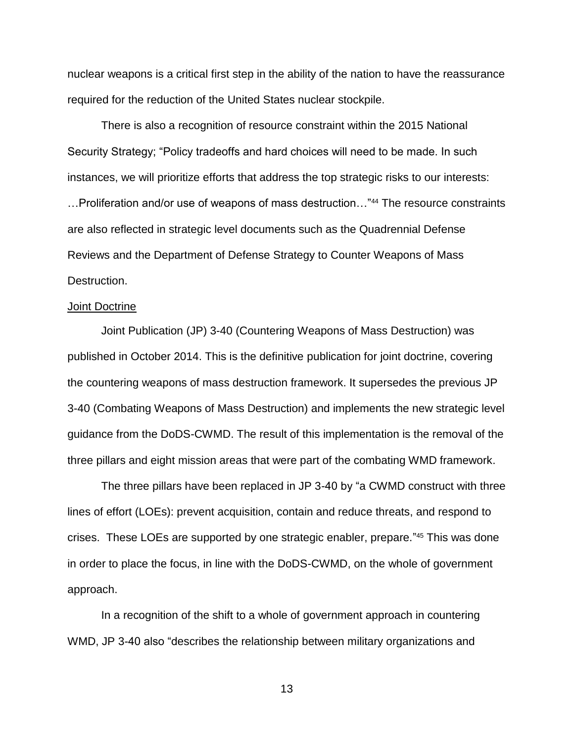nuclear weapons is a critical first step in the ability of the nation to have the reassurance required for the reduction of the United States nuclear stockpile.

There is also a recognition of resource constraint within the 2015 National Security Strategy; "Policy tradeoffs and hard choices will need to be made. In such instances, we will prioritize efforts that address the top strategic risks to our interests: …Proliferation and/or use of weapons of mass destruction…"<sup>44</sup> The resource constraints are also reflected in strategic level documents such as the Quadrennial Defense Reviews and the Department of Defense Strategy to Counter Weapons of Mass Destruction.

### **Joint Doctrine**

Joint Publication (JP) 3-40 (Countering Weapons of Mass Destruction) was published in October 2014. This is the definitive publication for joint doctrine, covering the countering weapons of mass destruction framework. It supersedes the previous JP 3-40 (Combating Weapons of Mass Destruction) and implements the new strategic level guidance from the DoDS-CWMD. The result of this implementation is the removal of the three pillars and eight mission areas that were part of the combating WMD framework.

The three pillars have been replaced in JP 3-40 by "a CWMD construct with three lines of effort (LOEs): prevent acquisition, contain and reduce threats, and respond to crises. These LOEs are supported by one strategic enabler, prepare." <sup>45</sup> This was done in order to place the focus, in line with the DoDS-CWMD, on the whole of government approach.

In a recognition of the shift to a whole of government approach in countering WMD, JP 3-40 also "describes the relationship between military organizations and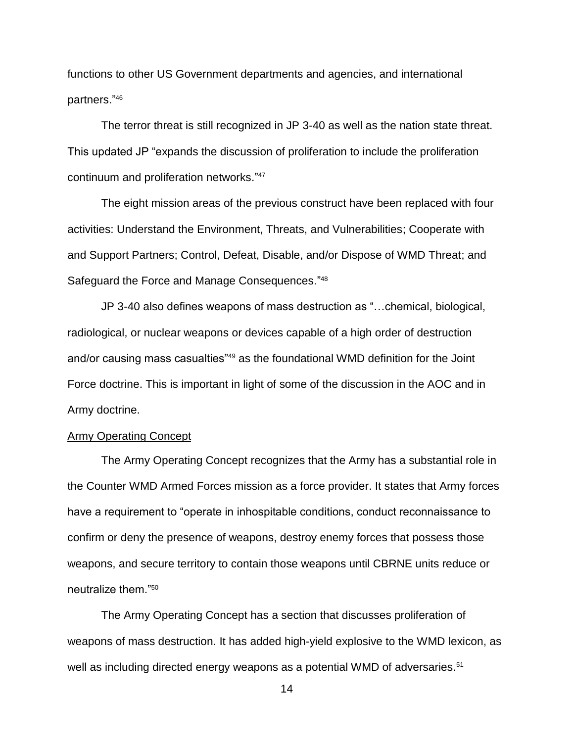functions to other US Government departments and agencies, and international partners." 46

The terror threat is still recognized in JP 3-40 as well as the nation state threat. This updated JP "expands the discussion of proliferation to include the proliferation continuum and proliferation networks."<sup>47</sup>

The eight mission areas of the previous construct have been replaced with four activities: Understand the Environment, Threats, and Vulnerabilities; Cooperate with and Support Partners; Control, Defeat, Disable, and/or Dispose of WMD Threat; and Safeguard the Force and Manage Consequences."<sup>48</sup>

JP 3-40 also defines weapons of mass destruction as "…chemical, biological, radiological, or nuclear weapons or devices capable of a high order of destruction and/or causing mass casualties"<sup>49</sup> as the foundational WMD definition for the Joint Force doctrine. This is important in light of some of the discussion in the AOC and in Army doctrine.

### Army Operating Concept

The Army Operating Concept recognizes that the Army has a substantial role in the Counter WMD Armed Forces mission as a force provider. It states that Army forces have a requirement to "operate in inhospitable conditions, conduct reconnaissance to confirm or deny the presence of weapons, destroy enemy forces that possess those weapons, and secure territory to contain those weapons until CBRNE units reduce or neutralize them "50

The Army Operating Concept has a section that discusses proliferation of weapons of mass destruction. It has added high-yield explosive to the WMD lexicon, as well as including directed energy weapons as a potential WMD of adversaries.<sup>51</sup>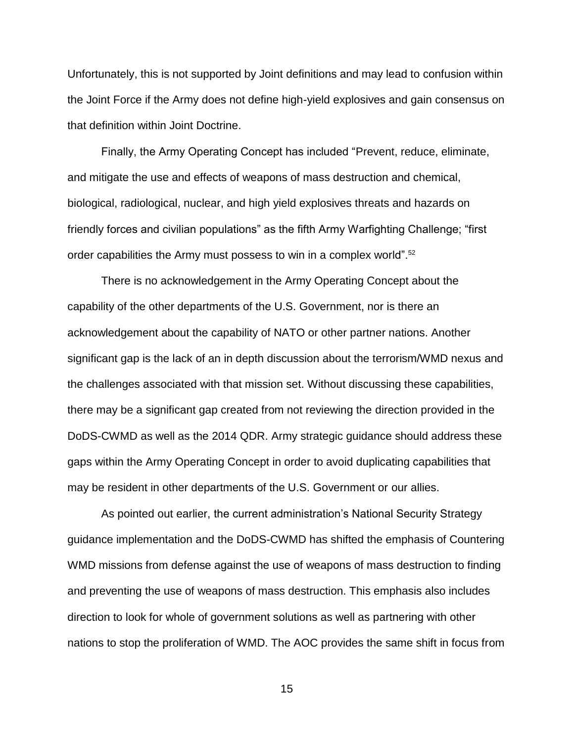Unfortunately, this is not supported by Joint definitions and may lead to confusion within the Joint Force if the Army does not define high-yield explosives and gain consensus on that definition within Joint Doctrine.

Finally, the Army Operating Concept has included "Prevent, reduce, eliminate, and mitigate the use and effects of weapons of mass destruction and chemical, biological, radiological, nuclear, and high yield explosives threats and hazards on friendly forces and civilian populations" as the fifth Army Warfighting Challenge; "first order capabilities the Army must possess to win in a complex world".<sup>52</sup>

There is no acknowledgement in the Army Operating Concept about the capability of the other departments of the U.S. Government, nor is there an acknowledgement about the capability of NATO or other partner nations. Another significant gap is the lack of an in depth discussion about the terrorism/WMD nexus and the challenges associated with that mission set. Without discussing these capabilities, there may be a significant gap created from not reviewing the direction provided in the DoDS-CWMD as well as the 2014 QDR. Army strategic guidance should address these gaps within the Army Operating Concept in order to avoid duplicating capabilities that may be resident in other departments of the U.S. Government or our allies.

As pointed out earlier, the current administration's National Security Strategy guidance implementation and the DoDS-CWMD has shifted the emphasis of Countering WMD missions from defense against the use of weapons of mass destruction to finding and preventing the use of weapons of mass destruction. This emphasis also includes direction to look for whole of government solutions as well as partnering with other nations to stop the proliferation of WMD. The AOC provides the same shift in focus from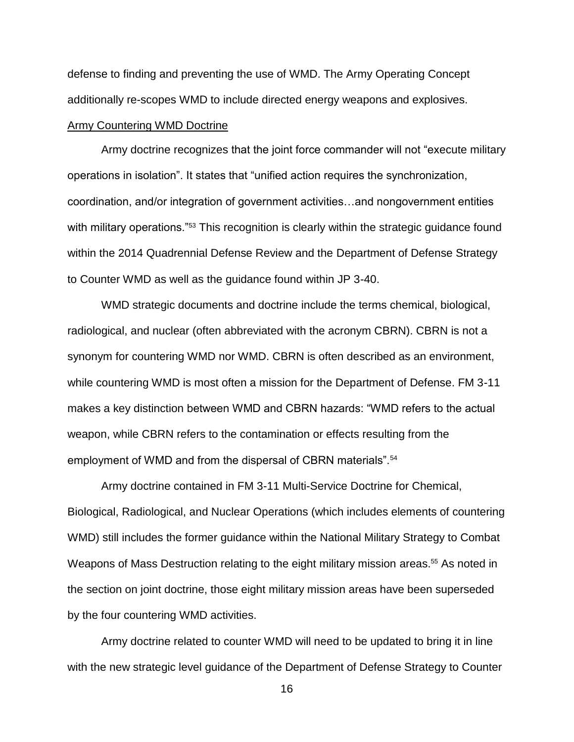defense to finding and preventing the use of WMD. The Army Operating Concept additionally re-scopes WMD to include directed energy weapons and explosives.

### Army Countering WMD Doctrine

Army doctrine recognizes that the joint force commander will not "execute military operations in isolation". It states that "unified action requires the synchronization, coordination, and/or integration of government activities…and nongovernment entities with military operations."<sup>53</sup> This recognition is clearly within the strategic guidance found within the 2014 Quadrennial Defense Review and the Department of Defense Strategy to Counter WMD as well as the guidance found within JP 3-40.

WMD strategic documents and doctrine include the terms chemical, biological, radiological, and nuclear (often abbreviated with the acronym CBRN). CBRN is not a synonym for countering WMD nor WMD. CBRN is often described as an environment, while countering WMD is most often a mission for the Department of Defense. FM 3-11 makes a key distinction between WMD and CBRN hazards: "WMD refers to the actual weapon, while CBRN refers to the contamination or effects resulting from the employment of WMD and from the dispersal of CBRN materials".<sup>54</sup>

Army doctrine contained in FM 3-11 Multi-Service Doctrine for Chemical, Biological, Radiological, and Nuclear Operations (which includes elements of countering WMD) still includes the former guidance within the National Military Strategy to Combat Weapons of Mass Destruction relating to the eight military mission areas.<sup>55</sup> As noted in the section on joint doctrine, those eight military mission areas have been superseded by the four countering WMD activities.

Army doctrine related to counter WMD will need to be updated to bring it in line with the new strategic level guidance of the Department of Defense Strategy to Counter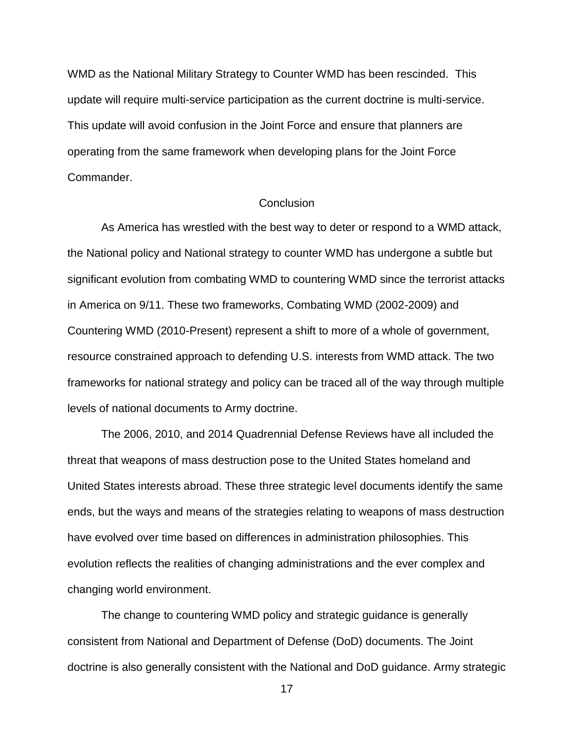WMD as the National Military Strategy to Counter WMD has been rescinded. This update will require multi-service participation as the current doctrine is multi-service. This update will avoid confusion in the Joint Force and ensure that planners are operating from the same framework when developing plans for the Joint Force Commander.

### **Conclusion**

As America has wrestled with the best way to deter or respond to a WMD attack, the National policy and National strategy to counter WMD has undergone a subtle but significant evolution from combating WMD to countering WMD since the terrorist attacks in America on 9/11. These two frameworks, Combating WMD (2002-2009) and Countering WMD (2010-Present) represent a shift to more of a whole of government, resource constrained approach to defending U.S. interests from WMD attack. The two frameworks for national strategy and policy can be traced all of the way through multiple levels of national documents to Army doctrine.

The 2006, 2010, and 2014 Quadrennial Defense Reviews have all included the threat that weapons of mass destruction pose to the United States homeland and United States interests abroad. These three strategic level documents identify the same ends, but the ways and means of the strategies relating to weapons of mass destruction have evolved over time based on differences in administration philosophies. This evolution reflects the realities of changing administrations and the ever complex and changing world environment.

The change to countering WMD policy and strategic guidance is generally consistent from National and Department of Defense (DoD) documents. The Joint doctrine is also generally consistent with the National and DoD guidance. Army strategic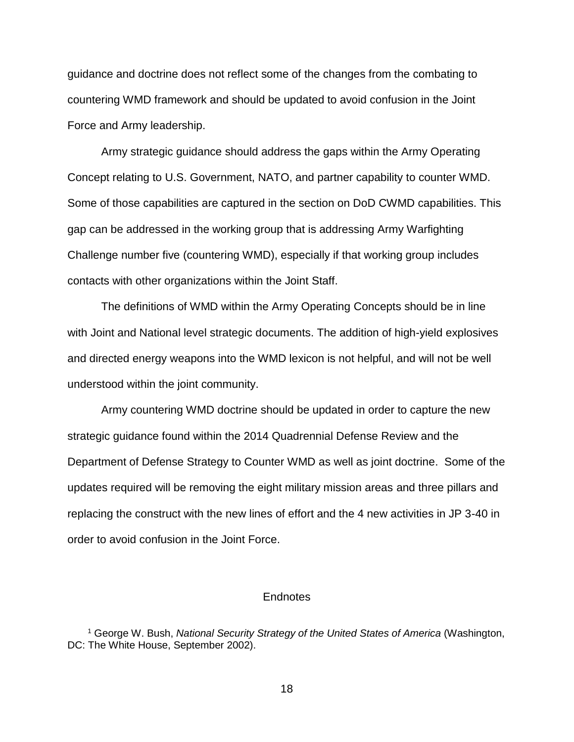guidance and doctrine does not reflect some of the changes from the combating to countering WMD framework and should be updated to avoid confusion in the Joint Force and Army leadership.

Army strategic guidance should address the gaps within the Army Operating Concept relating to U.S. Government, NATO, and partner capability to counter WMD. Some of those capabilities are captured in the section on DoD CWMD capabilities. This gap can be addressed in the working group that is addressing Army Warfighting Challenge number five (countering WMD), especially if that working group includes contacts with other organizations within the Joint Staff.

The definitions of WMD within the Army Operating Concepts should be in line with Joint and National level strategic documents. The addition of high-yield explosives and directed energy weapons into the WMD lexicon is not helpful, and will not be well understood within the joint community.

Army countering WMD doctrine should be updated in order to capture the new strategic guidance found within the 2014 Quadrennial Defense Review and the Department of Defense Strategy to Counter WMD as well as joint doctrine. Some of the updates required will be removing the eight military mission areas and three pillars and replacing the construct with the new lines of effort and the 4 new activities in JP 3-40 in order to avoid confusion in the Joint Force.

### **Endnotes**

<sup>1</sup> George W. Bush, *National Security Strategy of the United States of America* (Washington, DC: The White House, September 2002).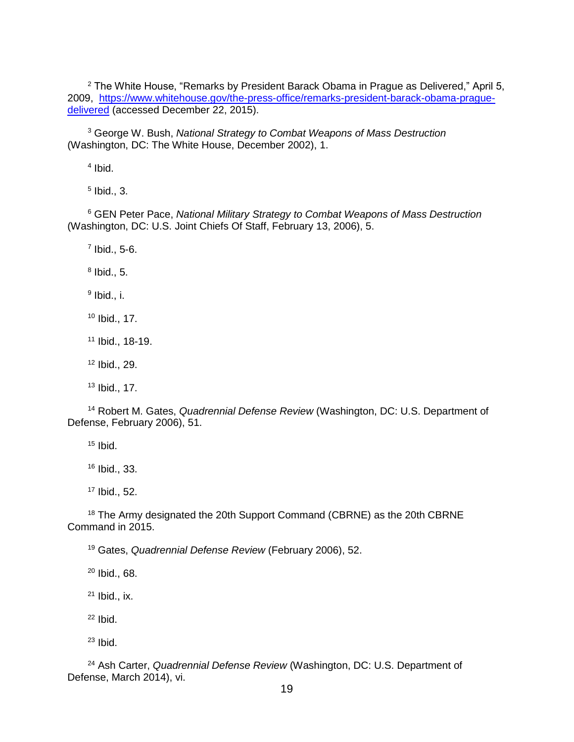The White House, "Remarks by President Barack Obama in Prague as Delivered," April 5, 2009, [https://www.whitehouse.gov/the-press-office/remarks-president-barack-obama-prague](https://www.whitehouse.gov/the-press-office/remarks-president-barack-obama-prague-delivered)[delivered](https://www.whitehouse.gov/the-press-office/remarks-president-barack-obama-prague-delivered) (accessed December 22, 2015).

 George W. Bush, *National Strategy to Combat Weapons of Mass Destruction* (Washington, DC: The White House, December 2002), 1.

Ibid.

Ibid., 3.

 GEN Peter Pace, *National Military Strategy to Combat Weapons of Mass Destruction* (Washington, DC: U.S. Joint Chiefs Of Staff, February 13, 2006), 5.

Ibid., 5-6.

Ibid., 5.

 $^9$  Ibid., i.

Ibid., 17.

Ibid., 18-19.

Ibid., 29.

Ibid., 17.

 Robert M. Gates, *Quadrennial Defense Review* (Washington, DC: U.S. Department of Defense, February 2006), 51.

Ibid.

Ibid., 33.

Ibid., 52.

<sup>18</sup> The Army designated the 20th Support Command (CBRNE) as the 20th CBRNE Command in 2015.

Gates, *Quadrennial Defense Review* (February 2006), 52.

Ibid., 68.

Ibid., ix.

Ibid.

Ibid.

 Ash Carter, *Quadrennial Defense Review* (Washington, DC: U.S. Department of Defense, March 2014), vi.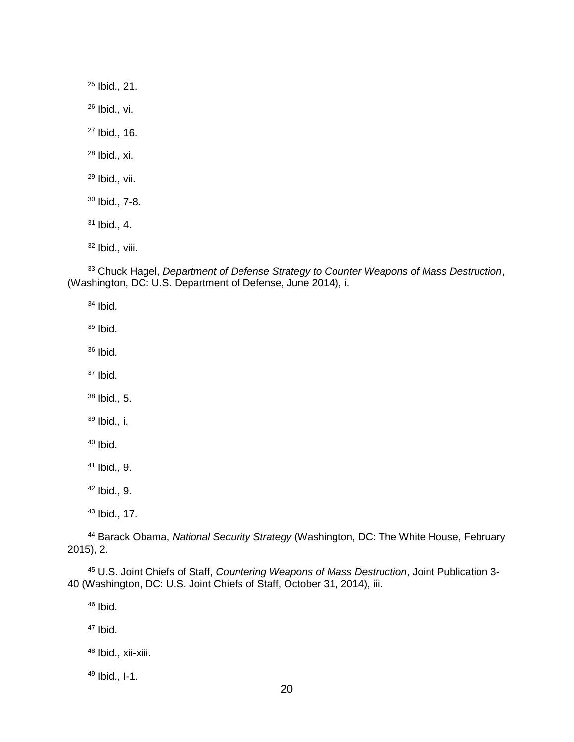Ibid., 21. Ibid., vi. Ibid., 16. Ibid., xi. Ibid., vii. Ibid., 7-8. Ibid., 4. Ibid., viii.

 Chuck Hagel, *Department of Defense Strategy to Counter Weapons of Mass Destruction*, (Washington, DC: U.S. Department of Defense, June 2014), i.

Ibid.

Ibid.

Ibid.

Ibid.

Ibid., 5.

Ibid., i.

Ibid.

Ibid., 9.

Ibid., 9.

Ibid., 17.

 Barack Obama, *National Security Strategy* (Washington, DC: The White House, February 2015), 2.

 U.S. Joint Chiefs of Staff, *Countering Weapons of Mass Destruction*, Joint Publication 3- 40 (Washington, DC: U.S. Joint Chiefs of Staff, October 31, 2014), iii.

Ibid.

Ibid.

Ibid., xii-xiii.

Ibid., I-1.